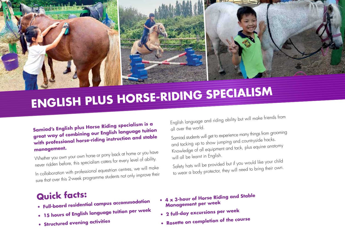

## **ENGLISH PLUS HORSE-RIDING SPECIALISM**

## **Samiad's English plus Horse Riding specialism is a great way of combining our English language tuition with professional horse-riding instruction and stable management.**

Whether you own your own horse or pony back at home or you have never ridden before, this specialism caters for every level of ability.

In collaboration with professional equestrian centres, we will make sure that over this 2-week programme students not only improve their English language and riding ability but will make friends from all over the world.

Samiad students will get to experience many things from grooming and tacking up to show jumping and countryside hacks. Knowledge of all equipment and tack, plus equine anatomy will all be learnt in English.

Safety hats will be provided but if you would like your child to wear a body protector, they will need to bring their own.

## **Quick facts:**

- **• Full-board residential campus accommodation**
- **• 15 hours of English language tuition per wee<sup>k</sup>**
- 
- **• Structured evening activities**
- **• 4 x 3-hour of Horse Riding and Stable Management per wee<sup>k</sup>**
- **• 2 full-day excursions per wee<sup>k</sup>**
- **• Rosette on completion of the course**